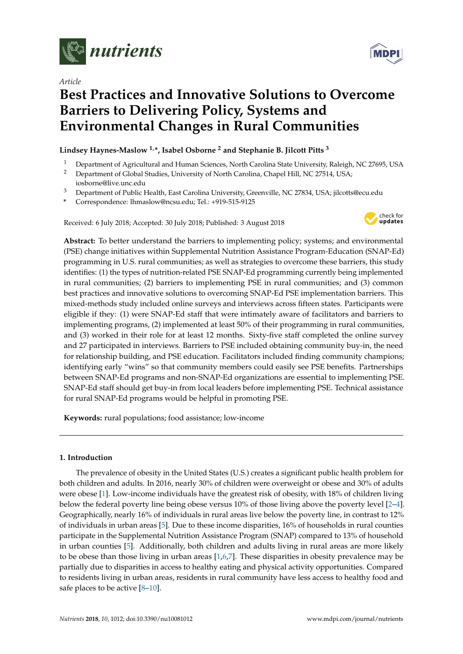

*Article*



# **Best Practices and Innovative Solutions to Overcome Barriers to Delivering Policy, Systems and Environmental Changes in Rural Communities**

# **Lindsey Haynes-Maslow 1,\*, Isabel Osborne <sup>2</sup> and Stephanie B. Jilcott Pitts <sup>3</sup>**

- <sup>1</sup> Department of Agricultural and Human Sciences, North Carolina State University, Raleigh, NC 27695, USA
- <sup>2</sup> Department of Global Studies, University of North Carolina, Chapel Hill, NC 27514, USA; iosborne@live.unc.edu
- <sup>3</sup> Department of Public Health, East Carolina University, Greenville, NC 27834, USA; jilcotts@ecu.edu
- **\*** Correspondence: lhmaslow@ncsu.edu; Tel.: +919-515-9125

Received: 6 July 2018; Accepted: 30 July 2018; Published: 3 August 2018



**Abstract:** To better understand the barriers to implementing policy; systems; and environmental (PSE) change initiatives within Supplemental Nutrition Assistance Program-Education (SNAP-Ed) programming in U.S. rural communities; as well as strategies to overcome these barriers, this study identifies: (1) the types of nutrition-related PSE SNAP-Ed programming currently being implemented in rural communities; (2) barriers to implementing PSE in rural communities; and (3) common best practices and innovative solutions to overcoming SNAP-Ed PSE implementation barriers. This mixed-methods study included online surveys and interviews across fifteen states. Participants were eligible if they: (1) were SNAP-Ed staff that were intimately aware of facilitators and barriers to implementing programs, (2) implemented at least 50% of their programming in rural communities, and (3) worked in their role for at least 12 months. Sixty-five staff completed the online survey and 27 participated in interviews. Barriers to PSE included obtaining community buy-in, the need for relationship building, and PSE education. Facilitators included finding community champions; identifying early "wins" so that community members could easily see PSE benefits. Partnerships between SNAP-Ed programs and non-SNAP-Ed organizations are essential to implementing PSE. SNAP-Ed staff should get buy-in from local leaders before implementing PSE. Technical assistance for rural SNAP-Ed programs would be helpful in promoting PSE.

**Keywords:** rural populations; food assistance; low-income

# **1. Introduction**

The prevalence of obesity in the United States (U.S.) creates a significant public health problem for both children and adults. In 2016, nearly 30% of children were overweight or obese and 30% of adults were obese [\[1\]](#page-12-0). Low-income individuals have the greatest risk of obesity, with 18% of children living below the federal poverty line being obese versus 10% of those living above the poverty level [\[2](#page-12-1)[–4\]](#page-12-2). Geographically, nearly 16% of individuals in rural areas live below the poverty line, in contrast to 12% of individuals in urban areas [\[5\]](#page-12-3). Due to these income disparities, 16% of households in rural counties participate in the Supplemental Nutrition Assistance Program (SNAP) compared to 13% of household in urban counties [\[5\]](#page-12-3). Additionally, both children and adults living in rural areas are more likely to be obese than those living in urban areas [\[1,](#page-12-0)[6](#page-12-4)[,7\]](#page-12-5). These disparities in obesity prevalence may be partially due to disparities in access to healthy eating and physical activity opportunities. Compared to residents living in urban areas, residents in rural community have less access to healthy food and safe places to be active  $[8-10]$  $[8-10]$ .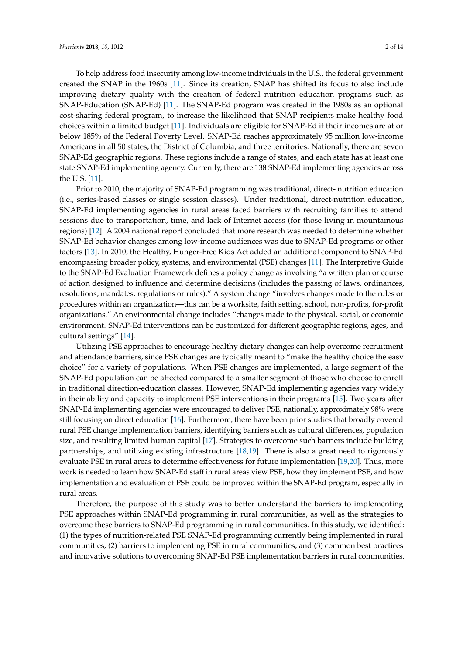To help address food insecurity among low-income individuals in the U.S., the federal government created the SNAP in the 1960s [\[11\]](#page-12-8). Since its creation, SNAP has shifted its focus to also include improving dietary quality with the creation of federal nutrition education programs such as SNAP-Education (SNAP-Ed) [\[11\]](#page-12-8). The SNAP-Ed program was created in the 1980s as an optional cost-sharing federal program, to increase the likelihood that SNAP recipients make healthy food choices within a limited budget [\[11\]](#page-12-8). Individuals are eligible for SNAP-Ed if their incomes are at or below 185% of the Federal Poverty Level. SNAP-Ed reaches approximately 95 million low-income Americans in all 50 states, the District of Columbia, and three territories. Nationally, there are seven SNAP-Ed geographic regions. These regions include a range of states, and each state has at least one state SNAP-Ed implementing agency. Currently, there are 138 SNAP-Ed implementing agencies across the U.S. [\[11\]](#page-12-8).

Prior to 2010, the majority of SNAP-Ed programming was traditional, direct- nutrition education (i.e., series-based classes or single session classes). Under traditional, direct-nutrition education, SNAP-Ed implementing agencies in rural areas faced barriers with recruiting families to attend sessions due to transportation, time, and lack of Internet access (for those living in mountainous regions) [\[12\]](#page-12-9). A 2004 national report concluded that more research was needed to determine whether SNAP-Ed behavior changes among low-income audiences was due to SNAP-Ed programs or other factors [\[13\]](#page-12-10). In 2010, the Healthy, Hunger-Free Kids Act added an additional component to SNAP-Ed encompassing broader policy, systems, and environmental (PSE) changes [\[11\]](#page-12-8). The Interpretive Guide to the SNAP-Ed Evaluation Framework defines a policy change as involving "a written plan or course of action designed to influence and determine decisions (includes the passing of laws, ordinances, resolutions, mandates, regulations or rules)." A system change "involves changes made to the rules or procedures within an organization—this can be a worksite, faith setting, school, non-profits, for-profit organizations." An environmental change includes "changes made to the physical, social, or economic environment. SNAP-Ed interventions can be customized for different geographic regions, ages, and cultural settings" [\[14\]](#page-12-11).

Utilizing PSE approaches to encourage healthy dietary changes can help overcome recruitment and attendance barriers, since PSE changes are typically meant to "make the healthy choice the easy choice" for a variety of populations. When PSE changes are implemented, a large segment of the SNAP-Ed population can be affected compared to a smaller segment of those who choose to enroll in traditional direction-education classes. However, SNAP-Ed implementing agencies vary widely in their ability and capacity to implement PSE interventions in their programs [\[15\]](#page-13-0). Two years after SNAP-Ed implementing agencies were encouraged to deliver PSE, nationally, approximately 98% were still focusing on direct education [\[16\]](#page-13-1). Furthermore, there have been prior studies that broadly covered rural PSE change implementation barriers, identifying barriers such as cultural differences, population size, and resulting limited human capital [\[17\]](#page-13-2). Strategies to overcome such barriers include building partnerships, and utilizing existing infrastructure [\[18,](#page-13-3)[19\]](#page-13-4). There is also a great need to rigorously evaluate PSE in rural areas to determine effectiveness for future implementation [\[19,](#page-13-4)[20\]](#page-13-5). Thus, more work is needed to learn how SNAP-Ed staff in rural areas view PSE, how they implement PSE, and how implementation and evaluation of PSE could be improved within the SNAP-Ed program, especially in rural areas.

Therefore, the purpose of this study was to better understand the barriers to implementing PSE approaches within SNAP-Ed programming in rural communities, as well as the strategies to overcome these barriers to SNAP-Ed programming in rural communities. In this study, we identified: (1) the types of nutrition-related PSE SNAP-Ed programming currently being implemented in rural communities, (2) barriers to implementing PSE in rural communities, and (3) common best practices and innovative solutions to overcoming SNAP-Ed PSE implementation barriers in rural communities.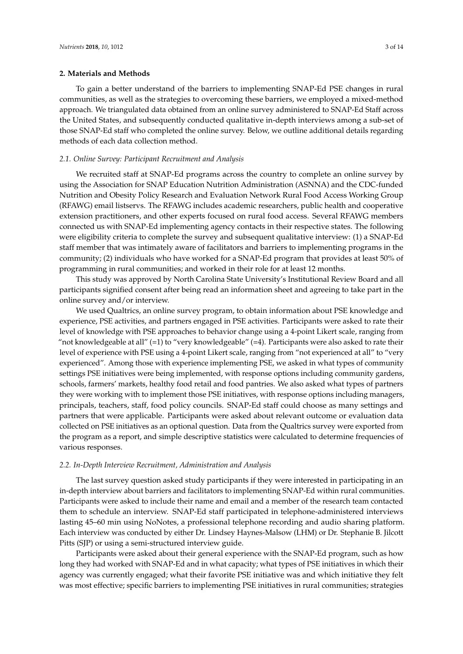#### **2. Materials and Methods**

To gain a better understand of the barriers to implementing SNAP-Ed PSE changes in rural communities, as well as the strategies to overcoming these barriers, we employed a mixed-method approach. We triangulated data obtained from an online survey administered to SNAP-Ed Staff across the United States, and subsequently conducted qualitative in-depth interviews among a sub-set of those SNAP-Ed staff who completed the online survey. Below, we outline additional details regarding methods of each data collection method.

#### *2.1. Online Survey: Participant Recruitment and Analysis*

We recruited staff at SNAP-Ed programs across the country to complete an online survey by using the Association for SNAP Education Nutrition Administration (ASNNA) and the CDC-funded Nutrition and Obesity Policy Research and Evaluation Network Rural Food Access Working Group (RFAWG) email listservs. The RFAWG includes academic researchers, public health and cooperative extension practitioners, and other experts focused on rural food access. Several RFAWG members connected us with SNAP-Ed implementing agency contacts in their respective states. The following were eligibility criteria to complete the survey and subsequent qualitative interview: (1) a SNAP-Ed staff member that was intimately aware of facilitators and barriers to implementing programs in the community; (2) individuals who have worked for a SNAP-Ed program that provides at least 50% of programming in rural communities; and worked in their role for at least 12 months.

This study was approved by North Carolina State University's Institutional Review Board and all participants signified consent after being read an information sheet and agreeing to take part in the online survey and/or interview.

We used Qualtrics, an online survey program, to obtain information about PSE knowledge and experience, PSE activities, and partners engaged in PSE activities. Participants were asked to rate their level of knowledge with PSE approaches to behavior change using a 4-point Likert scale, ranging from "not knowledgeable at all" (=1) to "very knowledgeable" (=4). Participants were also asked to rate their level of experience with PSE using a 4-point Likert scale, ranging from "not experienced at all" to "very experienced". Among those with experience implementing PSE, we asked in what types of community settings PSE initiatives were being implemented, with response options including community gardens, schools, farmers' markets, healthy food retail and food pantries. We also asked what types of partners they were working with to implement those PSE initiatives, with response options including managers, principals, teachers, staff, food policy councils. SNAP-Ed staff could choose as many settings and partners that were applicable. Participants were asked about relevant outcome or evaluation data collected on PSE initiatives as an optional question. Data from the Qualtrics survey were exported from the program as a report, and simple descriptive statistics were calculated to determine frequencies of various responses.

#### *2.2. In-Depth Interview Recruitment, Administration and Analysis*

The last survey question asked study participants if they were interested in participating in an in-depth interview about barriers and facilitators to implementing SNAP-Ed within rural communities. Participants were asked to include their name and email and a member of the research team contacted them to schedule an interview. SNAP-Ed staff participated in telephone-administered interviews lasting 45–60 min using NoNotes, a professional telephone recording and audio sharing platform. Each interview was conducted by either Dr. Lindsey Haynes-Malsow (LHM) or Dr. Stephanie B. Jilcott Pitts (SJP) or using a semi-structured interview guide.

Participants were asked about their general experience with the SNAP-Ed program, such as how long they had worked with SNAP-Ed and in what capacity; what types of PSE initiatives in which their agency was currently engaged; what their favorite PSE initiative was and which initiative they felt was most effective; specific barriers to implementing PSE initiatives in rural communities; strategies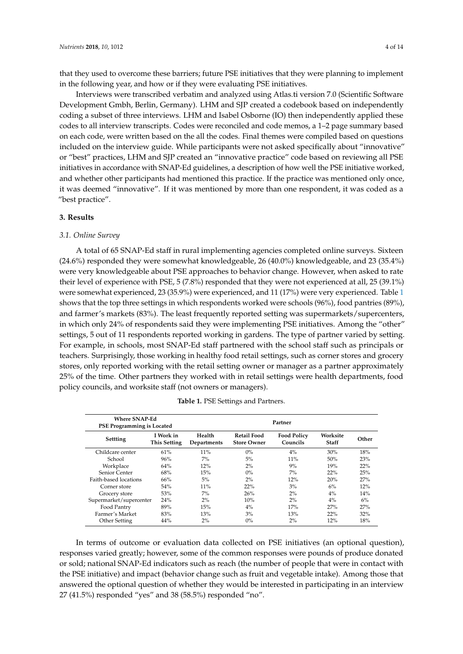that they used to overcome these barriers; future PSE initiatives that they were planning to implement in the following year, and how or if they were evaluating PSE initiatives.

Interviews were transcribed verbatim and analyzed using Atlas.ti version 7.0 (Scientific Software Development Gmbh, Berlin, Germany). LHM and SJP created a codebook based on independently coding a subset of three interviews. LHM and Isabel Osborne (IO) then independently applied these codes to all interview transcripts. Codes were reconciled and code memos, a 1–2 page summary based on each code, were written based on the all the codes. Final themes were compiled based on questions included on the interview guide. While participants were not asked specifically about "innovative" or "best" practices, LHM and SJP created an "innovative practice" code based on reviewing all PSE initiatives in accordance with SNAP-Ed guidelines, a description of how well the PSE initiative worked, and whether other participants had mentioned this practice. If the practice was mentioned only once, it was deemed "innovative". If it was mentioned by more than one respondent, it was coded as a "best practice".

### **3. Results**

#### *3.1. Online Survey*

A total of 65 SNAP-Ed staff in rural implementing agencies completed online surveys. Sixteen (24.6%) responded they were somewhat knowledgeable, 26 (40.0%) knowledgeable, and 23 (35.4%) were very knowledgeable about PSE approaches to behavior change. However, when asked to rate their level of experience with PSE, 5 (7.8%) responded that they were not experienced at all, 25 (39.1%) were somewhat experienced, 23 (35.9%) were experienced, and 11 (17%) were very experienced. Table [1](#page-3-0) shows that the top three settings in which respondents worked were schools (96%), food pantries (89%), and farmer's markets (83%). The least frequently reported setting was supermarkets/supercenters, in which only 24% of respondents said they were implementing PSE initiatives. Among the "other" settings, 5 out of 11 respondents reported working in gardens. The type of partner varied by setting. For example, in schools, most SNAP-Ed staff partnered with the school staff such as principals or teachers. Surprisingly, those working in healthy food retail settings, such as corner stores and grocery stores, only reported working with the retail setting owner or manager as a partner approximately 25% of the time. Other partners they worked with in retail settings were health departments, food policy councils, and worksite staff (not owners or managers).

<span id="page-3-0"></span>

| Where SNAP-Ed<br>PSE Programming is Located |                           | Partner               |                                          |                                |                          |       |
|---------------------------------------------|---------------------------|-----------------------|------------------------------------------|--------------------------------|--------------------------|-------|
| Settting                                    | I Work in<br>This Setting | Health<br>Departments | <b>Retail Food</b><br><b>Store Owner</b> | <b>Food Policy</b><br>Councils | Worksite<br><b>Staff</b> | Other |
| Childcare center                            | 61%                       | 11%                   | $0\%$                                    | 4%                             | 30%                      | 18%   |
| School                                      | 96%                       | 7%                    | 5%                                       | 11%                            | 50%                      | 23%   |
| Workplace                                   | 64%                       | 12%                   | $2\%$                                    | 9%                             | 19%                      | 22%   |
| Senior Center                               | 68%                       | 15%                   | $0\%$                                    | 7%                             | 22%                      | 25%   |
| Faith-based locations                       | 66%                       | 5%                    | 2%                                       | 12%                            | 20%                      | 27%   |
| Corner store                                | 54%                       | 11%                   | 22%                                      | 3%                             | 6%                       | 12%   |
| Grocery store                               | 53%                       | 7%                    | 26%                                      | 2%                             | $4\%$                    | 14%   |
| Supermarket/supercenter                     | 24%                       | 2%                    | 10%                                      | 2%                             | $4\%$                    | 6%    |
| Food Pantry                                 | 89%                       | 15%                   | 4%                                       | 17%                            | 27%                      | 27%   |
| Farmer's Market                             | 83%                       | 13%                   | 3%                                       | 13%                            | 22%                      | 32%   |
| Other Setting                               | 44%                       | 2%                    | $0\%$                                    | 2%                             | 12%                      | 18%   |

**Table 1.** PSE Settings and Partners.

In terms of outcome or evaluation data collected on PSE initiatives (an optional question), responses varied greatly; however, some of the common responses were pounds of produce donated or sold; national SNAP-Ed indicators such as reach (the number of people that were in contact with the PSE initiative) and impact (behavior change such as fruit and vegetable intake). Among those that answered the optional question of whether they would be interested in participating in an interview 27 (41.5%) responded "yes" and 38 (58.5%) responded "no".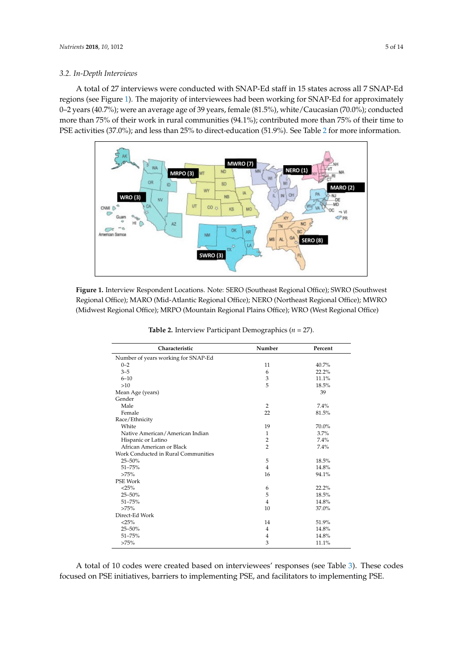A total of 27 interviews were conducted with SNAP-Ed staff in 15 states across all 7 SNAP-Ed A total of 27 interviews were conducted with SNAP-Ed staff in 15 states across all 7 SNAP-Ed regions (see Figure [1\)](#page-4-0). The majority of interviewees had been working for SNAP-Ed for approximately regions (see Figure 1). The majority of interviewees had been working for SNAP-Ed for  $\overline{O}$  years (40.7%); were an average age of 39 years, female (81.5%), white/Caucasian (70.0%); conducted more than 75% of their work in rural communities (94.1%); contributed more than 75% of their time to PSE activities (37.0%); and less than [2](#page-4-1)5% to direct-education (51.9%). See Table 2 for more information.  $(70.7\%)$ , were an average age of 99 years, remare  $(01.9\%)$ , while/Caucasian  $(70.0\%)$ ,

<span id="page-4-0"></span>

<span id="page-4-1"></span>**Figure 1**. Interview Respondent Locations. Note: SERO (Southeast Regional Office); SWRO **Figure 1.** Interview Respondent Locations. Note: SERO (Southeast Regional Office); SWRO (Southwest Regional Office); MARO (Mid-Atlantic Regional Office); NERO (Northeast Regional Office); MWRO (Midwest Regional Office); MRPO (Mountain Regional Plains Office); WRO (West Regional Office)

| Characteristic                      | Number         | Percent |
|-------------------------------------|----------------|---------|
| Number of years working for SNAP-Ed |                |         |
| $0 - 2$                             | 11             | 40.7%   |
| $3 - 5$                             | 6              | 22.2%   |
| $6 - 10$                            | 3              | 11.1%   |
| >10                                 | 5              | 18.5%   |
| Mean Age (years)                    |                | 39      |
| Gender                              |                |         |
| Male                                | 2              | 7.4%    |
| Female                              | 22             | 81.5%   |
| Race/Ethnicity                      |                |         |
| White                               | 19             | 70.0%   |
| Native American/American Indian     | 1              | 3.7%    |
| Hispanic or Latino                  | $\overline{2}$ | 7.4%    |
| African American or Black           | $\overline{2}$ | 7.4%    |
| Work Conducted in Rural Communities |                |         |
| 25-50%                              | 5              | 18.5%   |
| $51 - 75%$                          | $\overline{4}$ | 14.8%   |
| >75%                                | 16             | 94.1%   |
| PSE Work                            |                |         |
| $<$ 25%                             | 6              | 22.2%   |
| 25-50%                              | 5              | 18.5%   |
| 51-75%                              | $\overline{4}$ | 14.8%   |
| >75%                                | 10             | 37.0%   |
| Direct-Ed Work                      |                |         |
| $<$ 25%                             | 14             | 51.9%   |
| 25-50%                              | $\overline{4}$ | 14.8%   |
| $51 - 75%$                          | $\overline{4}$ | 14.8%   |
| >75%                                | 3              | 11.1%   |

**Table 2.** Interview Participant Demographics (*n* = 27).

A total of 10 codes were created based on interviewees' responses (see Table [3\)](#page-5-0). These codes focused on PSE initiatives, barriers to implementing PSE, and facilitators to implementing PSE.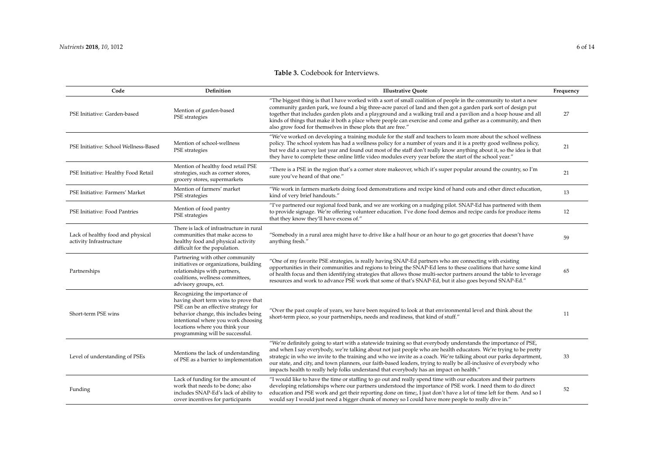PSE Initiative: Garden-based

|                     | Table 3. Codebook for Interviews.                                                                        |                                                                                                                                                                                                                                                                                                                                                                                                                                                                                                                                            |           |  |  |  |
|---------------------|----------------------------------------------------------------------------------------------------------|--------------------------------------------------------------------------------------------------------------------------------------------------------------------------------------------------------------------------------------------------------------------------------------------------------------------------------------------------------------------------------------------------------------------------------------------------------------------------------------------------------------------------------------------|-----------|--|--|--|
| Code                | Definition                                                                                               | <b>Illustrative Ouote</b>                                                                                                                                                                                                                                                                                                                                                                                                                                                                                                                  | Frequency |  |  |  |
| rden-based          | Mention of garden-based<br>PSE strategies                                                                | "The biggest thing is that I have worked with a sort of small coalition of people in the community to start a new<br>community garden park, we found a big three-acre parcel of land and then got a garden park sort of design put<br>together that includes garden plots and a playground and a walking trail and a pavilion and a hoop house and all<br>kinds of things that make it both a place where people can exercise and come and gather as a community, and then<br>also grow food for themselves in these plots that are free." | 27        |  |  |  |
| าool Wellness-Based | Mention of school-wellness<br>PSE strategies                                                             | "We've worked on developing a training module for the staff and teachers to learn more about the school wellness<br>policy. The school system has had a wellness policy for a number of years and it is a pretty good wellness policy,<br>but we did a survey last year and found out most of the staff don't really know anything about it, so the idea is that<br>they have to complete these online little video modules every year before the start of the school year."                                                               | 21        |  |  |  |
| althy Food Retail   | Mention of healthy food retail PSE<br>strategies, such as corner stores,<br>grocery stores, supermarkets | "There is a PSE in the region that's a corner store makeover, which it's super popular around the country, so I'm<br>sure you've heard of that one."                                                                                                                                                                                                                                                                                                                                                                                       | 21        |  |  |  |
| rmers' Market       | Mention of farmers' market<br>PSE strategies                                                             | "We work in farmers markets doing food demonstrations and recipe kind of hand outs and other direct education,<br>kind of very brief handouts."                                                                                                                                                                                                                                                                                                                                                                                            | 13        |  |  |  |
| od Pantries         | Mention of food pantry                                                                                   | "I've partnered our regional food bank, and we are working on a nudging pilot. SNAP-Ed has partnered with them<br>to provide signage. We're offering volunteer education. I've done food demos and recipe cards for produce items                                                                                                                                                                                                                                                                                                          | 12        |  |  |  |

<span id="page-5-0"></span>

| PSE Initiative: School Wellness-Based                        | Mention of school-wellness<br>PSE strategies                                                                                                                                                                                                                      | "We've worked on developing a training module for the staff and teachers to learn more about the school wellness<br>policy. The school system has had a wellness policy for a number of years and it is a pretty good wellness policy,<br>but we did a survey last year and found out most of the staff don't really know anything about it, so the idea is that<br>they have to complete these online little video modules every year before the start of the school year."                                                                                                 | 21 |
|--------------------------------------------------------------|-------------------------------------------------------------------------------------------------------------------------------------------------------------------------------------------------------------------------------------------------------------------|------------------------------------------------------------------------------------------------------------------------------------------------------------------------------------------------------------------------------------------------------------------------------------------------------------------------------------------------------------------------------------------------------------------------------------------------------------------------------------------------------------------------------------------------------------------------------|----|
| PSE Initiative: Healthy Food Retail                          | Mention of healthy food retail PSE<br>strategies, such as corner stores,<br>grocery stores, supermarkets                                                                                                                                                          | "There is a PSE in the region that's a corner store makeover, which it's super popular around the country, so I'm<br>sure you've heard of that one."                                                                                                                                                                                                                                                                                                                                                                                                                         | 21 |
| PSE Initiative: Farmers' Market                              | Mention of farmers' market<br>PSE strategies                                                                                                                                                                                                                      | "We work in farmers markets doing food demonstrations and recipe kind of hand outs and other direct education,<br>kind of very brief handouts."                                                                                                                                                                                                                                                                                                                                                                                                                              | 13 |
| PSE Initiative: Food Pantries                                | Mention of food pantry<br>PSE strategies                                                                                                                                                                                                                          | "I've partnered our regional food bank, and we are working on a nudging pilot. SNAP-Ed has partnered with them<br>to provide signage. We're offering volunteer education. I've done food demos and recipe cards for produce items<br>that they know they'll have excess of."                                                                                                                                                                                                                                                                                                 | 12 |
| Lack of healthy food and physical<br>activity Infrastructure | There is lack of infrastructure in rural<br>communities that make access to<br>healthy food and physical activity<br>difficult for the population.                                                                                                                | "Somebody in a rural area might have to drive like a half hour or an hour to go get groceries that doesn't have<br>anything fresh."                                                                                                                                                                                                                                                                                                                                                                                                                                          | 59 |
| Partnerships                                                 | Partnering with other community<br>initiatives or organizations, building<br>relationships with partners,<br>coalitions, wellness committees,<br>advisory groups, ect.                                                                                            | "One of my favorite PSE strategies, is really having SNAP-Ed partners who are connecting with existing<br>opportunities in their communities and regions to bring the SNAP-Ed lens to these coalitions that have some kind<br>of health focus and then identifying strategies that allows those multi-sector partners around the table to leverage<br>resources and work to advance PSE work that some of that's SNAP-Ed, but it also goes beyond SNAP-Ed."                                                                                                                  | 65 |
| Short-term PSE wins                                          | Recognizing the importance of<br>having short term wins to prove that<br>PSE can be an effective strategy for<br>behavior change, this includes being<br>intentional where you work choosing<br>locations where you think your<br>programming will be successful. | "Over the past couple of years, we have been required to look at that environmental level and think about the<br>short-term piece, so your partnerships, needs and readiness, that kind of stuff."                                                                                                                                                                                                                                                                                                                                                                           | 11 |
| Level of understanding of PSEs                               | Mentions the lack of understanding<br>of PSE as a barrier to implementation                                                                                                                                                                                       | "We're definitely going to start with a statewide training so that everybody understands the importance of PSE,<br>and when I say everybody, we're talking about not just people who are health educators. We're trying to be pretty<br>strategic in who we invite to the training and who we invite as a coach. We're talking about our parks department,<br>our state, and city, and town planners, our faith-based leaders, trying to really be all-inclusive of everybody who<br>impacts health to really help folks understand that everybody has an impact on health." | 33 |
| Funding                                                      | Lack of funding for the amount of<br>work that needs to be done; also<br>includes SNAP-Ed's lack of ability to<br>cover incentives for participants                                                                                                               | "I would like to have the time or staffing to go out and really spend time with our educators and their partners<br>developing relationships where our partners understood the importance of PSE work. I need them to do direct<br>education and PSE work and get their reporting done on time;, I just don't have a lot of time left for them. And so I<br>would say I would just need a bigger chunk of money so I could have more people to really dive in."                                                                                                              | 52 |
|                                                              |                                                                                                                                                                                                                                                                   |                                                                                                                                                                                                                                                                                                                                                                                                                                                                                                                                                                              |    |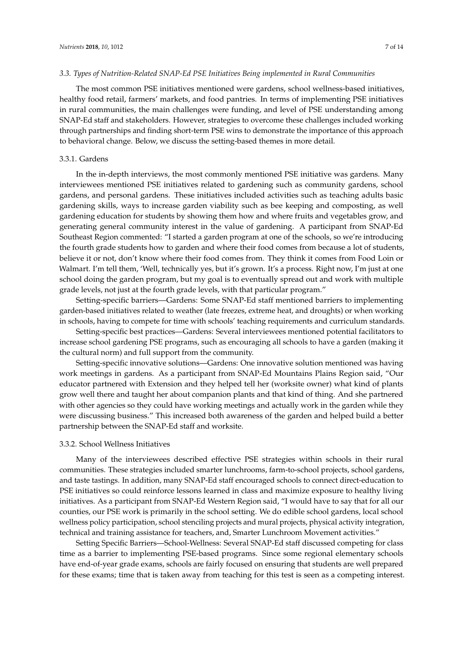#### *3.3. Types of Nutrition-Related SNAP-Ed PSE Initiatives Being implemented in Rural Communities*

The most common PSE initiatives mentioned were gardens, school wellness-based initiatives, healthy food retail, farmers' markets, and food pantries. In terms of implementing PSE initiatives in rural communities, the main challenges were funding, and level of PSE understanding among SNAP-Ed staff and stakeholders. However, strategies to overcome these challenges included working through partnerships and finding short-term PSE wins to demonstrate the importance of this approach to behavioral change. Below, we discuss the setting-based themes in more detail.

#### 3.3.1. Gardens

In the in-depth interviews, the most commonly mentioned PSE initiative was gardens. Many interviewees mentioned PSE initiatives related to gardening such as community gardens, school gardens, and personal gardens. These initiatives included activities such as teaching adults basic gardening skills, ways to increase garden viability such as bee keeping and composting, as well gardening education for students by showing them how and where fruits and vegetables grow, and generating general community interest in the value of gardening. A participant from SNAP-Ed Southeast Region commented: "I started a garden program at one of the schools, so we're introducing the fourth grade students how to garden and where their food comes from because a lot of students, believe it or not, don't know where their food comes from. They think it comes from Food Loin or Walmart. I'm tell them, 'Well, technically yes, but it's grown. It's a process. Right now, I'm just at one school doing the garden program, but my goal is to eventually spread out and work with multiple grade levels, not just at the fourth grade levels, with that particular program."

Setting-specific barriers—Gardens: Some SNAP-Ed staff mentioned barriers to implementing garden-based initiatives related to weather (late freezes, extreme heat, and droughts) or when working in schools, having to compete for time with schools' teaching requirements and curriculum standards.

Setting-specific best practices—Gardens: Several interviewees mentioned potential facilitators to increase school gardening PSE programs, such as encouraging all schools to have a garden (making it the cultural norm) and full support from the community.

Setting-specific innovative solutions—Gardens: One innovative solution mentioned was having work meetings in gardens. As a participant from SNAP-Ed Mountains Plains Region said, "Our educator partnered with Extension and they helped tell her (worksite owner) what kind of plants grow well there and taught her about companion plants and that kind of thing. And she partnered with other agencies so they could have working meetings and actually work in the garden while they were discussing business." This increased both awareness of the garden and helped build a better partnership between the SNAP-Ed staff and worksite.

#### 3.3.2. School Wellness Initiatives

Many of the interviewees described effective PSE strategies within schools in their rural communities. These strategies included smarter lunchrooms, farm-to-school projects, school gardens, and taste tastings. In addition, many SNAP-Ed staff encouraged schools to connect direct-education to PSE initiatives so could reinforce lessons learned in class and maximize exposure to healthy living initiatives. As a participant from SNAP-Ed Western Region said, "I would have to say that for all our counties, our PSE work is primarily in the school setting. We do edible school gardens, local school wellness policy participation, school stenciling projects and mural projects, physical activity integration, technical and training assistance for teachers, and, Smarter Lunchroom Movement activities."

Setting Specific Barriers—School-Wellness: Several SNAP-Ed staff discussed competing for class time as a barrier to implementing PSE-based programs. Since some regional elementary schools have end-of-year grade exams, schools are fairly focused on ensuring that students are well prepared for these exams; time that is taken away from teaching for this test is seen as a competing interest.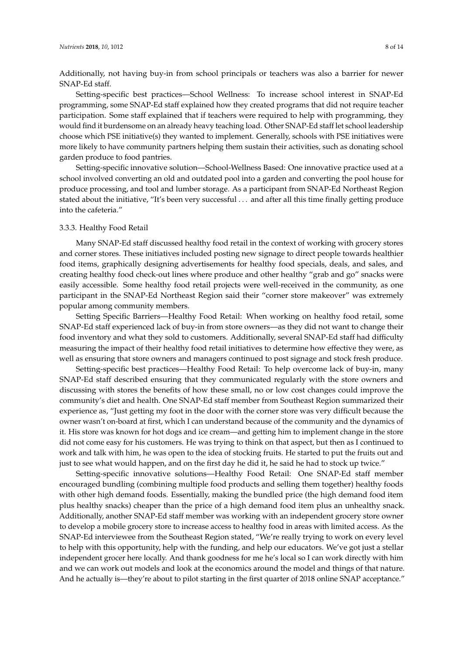Additionally, not having buy-in from school principals or teachers was also a barrier for newer SNAP-Ed staff.

Setting-specific best practices—School Wellness: To increase school interest in SNAP-Ed programming, some SNAP-Ed staff explained how they created programs that did not require teacher participation. Some staff explained that if teachers were required to help with programming, they would find it burdensome on an already heavy teaching load. Other SNAP-Ed staff let school leadership choose which PSE initiative(s) they wanted to implement. Generally, schools with PSE initiatives were more likely to have community partners helping them sustain their activities, such as donating school garden produce to food pantries.

Setting-specific innovative solution—School-Wellness Based: One innovative practice used at a school involved converting an old and outdated pool into a garden and converting the pool house for produce processing, and tool and lumber storage. As a participant from SNAP-Ed Northeast Region stated about the initiative, "It's been very successful . . . and after all this time finally getting produce into the cafeteria."

#### 3.3.3. Healthy Food Retail

Many SNAP-Ed staff discussed healthy food retail in the context of working with grocery stores and corner stores. These initiatives included posting new signage to direct people towards healthier food items, graphically designing advertisements for healthy food specials, deals, and sales, and creating healthy food check-out lines where produce and other healthy "grab and go" snacks were easily accessible. Some healthy food retail projects were well-received in the community, as one participant in the SNAP-Ed Northeast Region said their "corner store makeover" was extremely popular among community members.

Setting Specific Barriers—Healthy Food Retail: When working on healthy food retail, some SNAP-Ed staff experienced lack of buy-in from store owners—as they did not want to change their food inventory and what they sold to customers. Additionally, several SNAP-Ed staff had difficulty measuring the impact of their healthy food retail initiatives to determine how effective they were, as well as ensuring that store owners and managers continued to post signage and stock fresh produce.

Setting-specific best practices—Healthy Food Retail: To help overcome lack of buy-in, many SNAP-Ed staff described ensuring that they communicated regularly with the store owners and discussing with stores the benefits of how these small, no or low cost changes could improve the community's diet and health. One SNAP-Ed staff member from Southeast Region summarized their experience as, "Just getting my foot in the door with the corner store was very difficult because the owner wasn't on-board at first, which I can understand because of the community and the dynamics of it. His store was known for hot dogs and ice cream—and getting him to implement change in the store did not come easy for his customers. He was trying to think on that aspect, but then as I continued to work and talk with him, he was open to the idea of stocking fruits. He started to put the fruits out and just to see what would happen, and on the first day he did it, he said he had to stock up twice."

Setting-specific innovative solutions—Healthy Food Retail: One SNAP-Ed staff member encouraged bundling (combining multiple food products and selling them together) healthy foods with other high demand foods. Essentially, making the bundled price (the high demand food item plus healthy snacks) cheaper than the price of a high demand food item plus an unhealthy snack. Additionally, another SNAP-Ed staff member was working with an independent grocery store owner to develop a mobile grocery store to increase access to healthy food in areas with limited access. As the SNAP-Ed interviewee from the Southeast Region stated, "We're really trying to work on every level to help with this opportunity, help with the funding, and help our educators. We've got just a stellar independent grocer here locally. And thank goodness for me he's local so I can work directly with him and we can work out models and look at the economics around the model and things of that nature. And he actually is—they're about to pilot starting in the first quarter of 2018 online SNAP acceptance."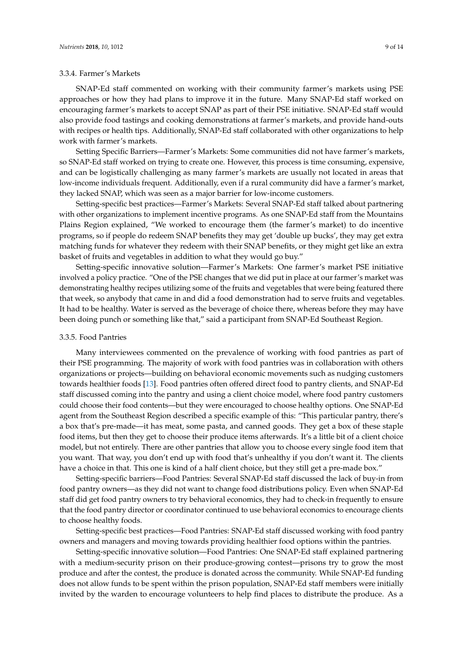#### 3.3.4. Farmer's Markets

SNAP-Ed staff commented on working with their community farmer's markets using PSE approaches or how they had plans to improve it in the future. Many SNAP-Ed staff worked on encouraging farmer's markets to accept SNAP as part of their PSE initiative. SNAP-Ed staff would also provide food tastings and cooking demonstrations at farmer's markets, and provide hand-outs with recipes or health tips. Additionally, SNAP-Ed staff collaborated with other organizations to help work with farmer's markets.

Setting Specific Barriers—Farmer's Markets: Some communities did not have farmer's markets, so SNAP-Ed staff worked on trying to create one. However, this process is time consuming, expensive, and can be logistically challenging as many farmer's markets are usually not located in areas that low-income individuals frequent. Additionally, even if a rural community did have a farmer's market, they lacked SNAP, which was seen as a major barrier for low-income customers.

Setting-specific best practices—Farmer's Markets: Several SNAP-Ed staff talked about partnering with other organizations to implement incentive programs. As one SNAP-Ed staff from the Mountains Plains Region explained, "We worked to encourage them (the farmer's market) to do incentive programs, so if people do redeem SNAP benefits they may get 'double up bucks', they may get extra matching funds for whatever they redeem with their SNAP benefits, or they might get like an extra basket of fruits and vegetables in addition to what they would go buy."

Setting-specific innovative solution—Farmer's Markets: One farmer's market PSE initiative involved a policy practice. "One of the PSE changes that we did put in place at our farmer's market was demonstrating healthy recipes utilizing some of the fruits and vegetables that were being featured there that week, so anybody that came in and did a food demonstration had to serve fruits and vegetables. It had to be healthy. Water is served as the beverage of choice there, whereas before they may have been doing punch or something like that," said a participant from SNAP-Ed Southeast Region.

#### 3.3.5. Food Pantries

Many interviewees commented on the prevalence of working with food pantries as part of their PSE programming. The majority of work with food pantries was in collaboration with others organizations or projects—building on behavioral economic movements such as nudging customers towards healthier foods [\[13\]](#page-12-10). Food pantries often offered direct food to pantry clients, and SNAP-Ed staff discussed coming into the pantry and using a client choice model, where food pantry customers could choose their food contents—but they were encouraged to choose healthy options. One SNAP-Ed agent from the Southeast Region described a specific example of this: "This particular pantry, there's a box that's pre-made—it has meat, some pasta, and canned goods. They get a box of these staple food items, but then they get to choose their produce items afterwards. It's a little bit of a client choice model, but not entirely. There are other pantries that allow you to choose every single food item that you want. That way, you don't end up with food that's unhealthy if you don't want it. The clients have a choice in that. This one is kind of a half client choice, but they still get a pre-made box."

Setting-specific barriers—Food Pantries: Several SNAP-Ed staff discussed the lack of buy-in from food pantry owners—as they did not want to change food distributions policy. Even when SNAP-Ed staff did get food pantry owners to try behavioral economics, they had to check-in frequently to ensure that the food pantry director or coordinator continued to use behavioral economics to encourage clients to choose healthy foods.

Setting-specific best practices—Food Pantries: SNAP-Ed staff discussed working with food pantry owners and managers and moving towards providing healthier food options within the pantries.

Setting-specific innovative solution—Food Pantries: One SNAP-Ed staff explained partnering with a medium-security prison on their produce-growing contest—prisons try to grow the most produce and after the contest, the produce is donated across the community. While SNAP-Ed funding does not allow funds to be spent within the prison population, SNAP-Ed staff members were initially invited by the warden to encourage volunteers to help find places to distribute the produce. As a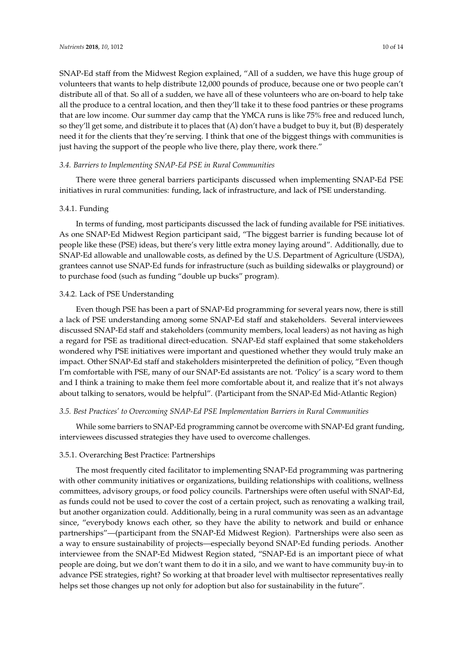SNAP-Ed staff from the Midwest Region explained, "All of a sudden, we have this huge group of volunteers that wants to help distribute 12,000 pounds of produce, because one or two people can't distribute all of that. So all of a sudden, we have all of these volunteers who are on-board to help take all the produce to a central location, and then they'll take it to these food pantries or these programs that are low income. Our summer day camp that the YMCA runs is like 75% free and reduced lunch, so they'll get some, and distribute it to places that (A) don't have a budget to buy it, but (B) desperately need it for the clients that they're serving. I think that one of the biggest things with communities is just having the support of the people who live there, play there, work there."

#### *3.4. Barriers to Implementing SNAP-Ed PSE in Rural Communities*

There were three general barriers participants discussed when implementing SNAP-Ed PSE initiatives in rural communities: funding, lack of infrastructure, and lack of PSE understanding.

### 3.4.1. Funding

In terms of funding, most participants discussed the lack of funding available for PSE initiatives. As one SNAP-Ed Midwest Region participant said, "The biggest barrier is funding because lot of people like these (PSE) ideas, but there's very little extra money laying around". Additionally, due to SNAP-Ed allowable and unallowable costs, as defined by the U.S. Department of Agriculture (USDA), grantees cannot use SNAP-Ed funds for infrastructure (such as building sidewalks or playground) or to purchase food (such as funding "double up bucks" program).

#### 3.4.2. Lack of PSE Understanding

Even though PSE has been a part of SNAP-Ed programming for several years now, there is still a lack of PSE understanding among some SNAP-Ed staff and stakeholders. Several interviewees discussed SNAP-Ed staff and stakeholders (community members, local leaders) as not having as high a regard for PSE as traditional direct-education. SNAP-Ed staff explained that some stakeholders wondered why PSE initiatives were important and questioned whether they would truly make an impact. Other SNAP-Ed staff and stakeholders misinterpreted the definition of policy, "Even though I'm comfortable with PSE, many of our SNAP-Ed assistants are not. 'Policy' is a scary word to them and I think a training to make them feel more comfortable about it, and realize that it's not always about talking to senators, would be helpful". (Participant from the SNAP-Ed Mid-Atlantic Region)

#### *3.5. Best Practices' to Overcoming SNAP-Ed PSE Implementation Barriers in Rural Communities*

While some barriers to SNAP-Ed programming cannot be overcome with SNAP-Ed grant funding, interviewees discussed strategies they have used to overcome challenges.

#### 3.5.1. Overarching Best Practice: Partnerships

The most frequently cited facilitator to implementing SNAP-Ed programming was partnering with other community initiatives or organizations, building relationships with coalitions, wellness committees, advisory groups, or food policy councils. Partnerships were often useful with SNAP-Ed, as funds could not be used to cover the cost of a certain project, such as renovating a walking trail, but another organization could. Additionally, being in a rural community was seen as an advantage since, "everybody knows each other, so they have the ability to network and build or enhance partnerships"—(participant from the SNAP-Ed Midwest Region). Partnerships were also seen as a way to ensure sustainability of projects—especially beyond SNAP-Ed funding periods. Another interviewee from the SNAP-Ed Midwest Region stated, "SNAP-Ed is an important piece of what people are doing, but we don't want them to do it in a silo, and we want to have community buy-in to advance PSE strategies, right? So working at that broader level with multisector representatives really helps set those changes up not only for adoption but also for sustainability in the future".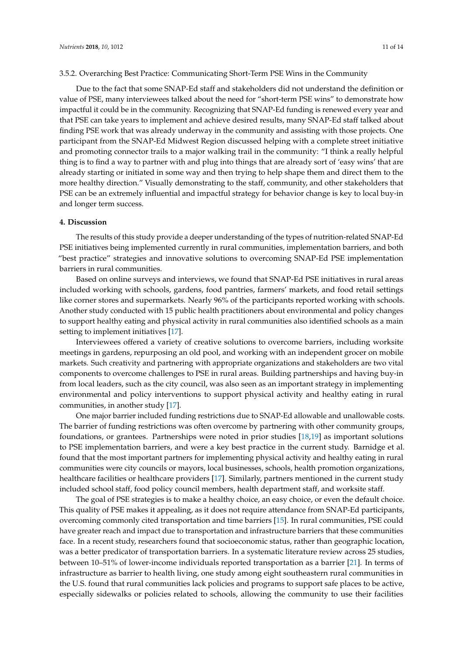#### 3.5.2. Overarching Best Practice: Communicating Short-Term PSE Wins in the Community

Due to the fact that some SNAP-Ed staff and stakeholders did not understand the definition or value of PSE, many interviewees talked about the need for "short-term PSE wins" to demonstrate how impactful it could be in the community. Recognizing that SNAP-Ed funding is renewed every year and that PSE can take years to implement and achieve desired results, many SNAP-Ed staff talked about finding PSE work that was already underway in the community and assisting with those projects. One participant from the SNAP-Ed Midwest Region discussed helping with a complete street initiative and promoting connector trails to a major walking trail in the community: "I think a really helpful thing is to find a way to partner with and plug into things that are already sort of 'easy wins' that are already starting or initiated in some way and then trying to help shape them and direct them to the more healthy direction." Visually demonstrating to the staff, community, and other stakeholders that PSE can be an extremely influential and impactful strategy for behavior change is key to local buy-in and longer term success.

#### **4. Discussion**

The results of this study provide a deeper understanding of the types of nutrition-related SNAP-Ed PSE initiatives being implemented currently in rural communities, implementation barriers, and both "best practice" strategies and innovative solutions to overcoming SNAP-Ed PSE implementation barriers in rural communities.

Based on online surveys and interviews, we found that SNAP-Ed PSE initiatives in rural areas included working with schools, gardens, food pantries, farmers' markets, and food retail settings like corner stores and supermarkets. Nearly 96% of the participants reported working with schools. Another study conducted with 15 public health practitioners about environmental and policy changes to support healthy eating and physical activity in rural communities also identified schools as a main setting to implement initiatives [\[17\]](#page-13-2).

Interviewees offered a variety of creative solutions to overcome barriers, including worksite meetings in gardens, repurposing an old pool, and working with an independent grocer on mobile markets. Such creativity and partnering with appropriate organizations and stakeholders are two vital components to overcome challenges to PSE in rural areas. Building partnerships and having buy-in from local leaders, such as the city council, was also seen as an important strategy in implementing environmental and policy interventions to support physical activity and healthy eating in rural communities, in another study [\[17\]](#page-13-2).

One major barrier included funding restrictions due to SNAP-Ed allowable and unallowable costs. The barrier of funding restrictions was often overcome by partnering with other community groups, foundations, or grantees. Partnerships were noted in prior studies [\[18](#page-13-3)[,19\]](#page-13-4) as important solutions to PSE implementation barriers, and were a key best practice in the current study. Barnidge et al. found that the most important partners for implementing physical activity and healthy eating in rural communities were city councils or mayors, local businesses, schools, health promotion organizations, healthcare facilities or healthcare providers [\[17\]](#page-13-2). Similarly, partners mentioned in the current study included school staff, food policy council members, health department staff, and worksite staff.

The goal of PSE strategies is to make a healthy choice, an easy choice, or even the default choice. This quality of PSE makes it appealing, as it does not require attendance from SNAP-Ed participants, overcoming commonly cited transportation and time barriers [\[15\]](#page-13-0). In rural communities, PSE could have greater reach and impact due to transportation and infrastructure barriers that these communities face. In a recent study, researchers found that socioeconomic status, rather than geographic location, was a better predicator of transportation barriers. In a systematic literature review across 25 studies, between 10–51% of lower-income individuals reported transportation as a barrier [\[21\]](#page-13-6). In terms of infrastructure as barrier to health living, one study among eight southeastern rural communities in the U.S. found that rural communities lack policies and programs to support safe places to be active, especially sidewalks or policies related to schools, allowing the community to use their facilities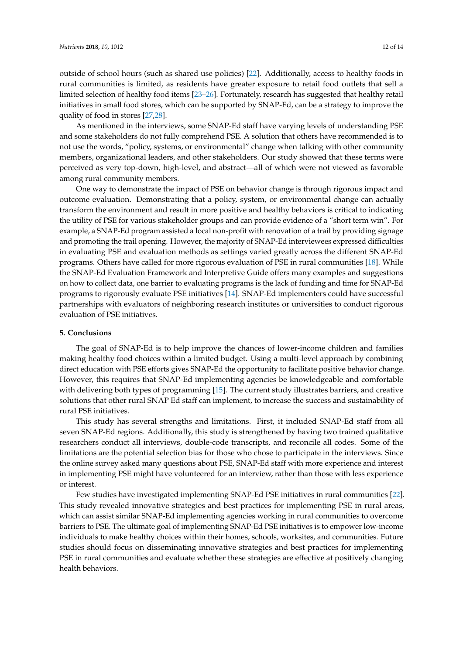outside of school hours (such as shared use policies) [\[22\]](#page-13-7). Additionally, access to healthy foods in rural communities is limited, as residents have greater exposure to retail food outlets that sell a limited selection of healthy food items [\[23–](#page-13-8)[26\]](#page-13-9). Fortunately, research has suggested that healthy retail initiatives in small food stores, which can be supported by SNAP-Ed, can be a strategy to improve the quality of food in stores [\[27,](#page-13-10)[28\]](#page-13-11).

As mentioned in the interviews, some SNAP-Ed staff have varying levels of understanding PSE and some stakeholders do not fully comprehend PSE. A solution that others have recommended is to not use the words, "policy, systems, or environmental" change when talking with other community members, organizational leaders, and other stakeholders. Our study showed that these terms were perceived as very top-down, high-level, and abstract—all of which were not viewed as favorable among rural community members.

One way to demonstrate the impact of PSE on behavior change is through rigorous impact and outcome evaluation. Demonstrating that a policy, system, or environmental change can actually transform the environment and result in more positive and healthy behaviors is critical to indicating the utility of PSE for various stakeholder groups and can provide evidence of a "short term win". For example, a SNAP-Ed program assisted a local non-profit with renovation of a trail by providing signage and promoting the trail opening. However, the majority of SNAP-Ed interviewees expressed difficulties in evaluating PSE and evaluation methods as settings varied greatly across the different SNAP-Ed programs. Others have called for more rigorous evaluation of PSE in rural communities [\[18\]](#page-13-3). While the SNAP-Ed Evaluation Framework and Interpretive Guide offers many examples and suggestions on how to collect data, one barrier to evaluating programs is the lack of funding and time for SNAP-Ed programs to rigorously evaluate PSE initiatives [\[14\]](#page-12-11). SNAP-Ed implementers could have successful partnerships with evaluators of neighboring research institutes or universities to conduct rigorous evaluation of PSE initiatives.

#### **5. Conclusions**

The goal of SNAP-Ed is to help improve the chances of lower-income children and families making healthy food choices within a limited budget. Using a multi-level approach by combining direct education with PSE efforts gives SNAP-Ed the opportunity to facilitate positive behavior change. However, this requires that SNAP-Ed implementing agencies be knowledgeable and comfortable with delivering both types of programming [\[15\]](#page-13-0). The current study illustrates barriers, and creative solutions that other rural SNAP Ed staff can implement, to increase the success and sustainability of rural PSE initiatives.

This study has several strengths and limitations. First, it included SNAP-Ed staff from all seven SNAP-Ed regions. Additionally, this study is strengthened by having two trained qualitative researchers conduct all interviews, double-code transcripts, and reconcile all codes. Some of the limitations are the potential selection bias for those who chose to participate in the interviews. Since the online survey asked many questions about PSE, SNAP-Ed staff with more experience and interest in implementing PSE might have volunteered for an interview, rather than those with less experience or interest.

Few studies have investigated implementing SNAP-Ed PSE initiatives in rural communities [\[22\]](#page-13-7). This study revealed innovative strategies and best practices for implementing PSE in rural areas, which can assist similar SNAP-Ed implementing agencies working in rural communities to overcome barriers to PSE. The ultimate goal of implementing SNAP-Ed PSE initiatives is to empower low-income individuals to make healthy choices within their homes, schools, worksites, and communities. Future studies should focus on disseminating innovative strategies and best practices for implementing PSE in rural communities and evaluate whether these strategies are effective at positively changing health behaviors.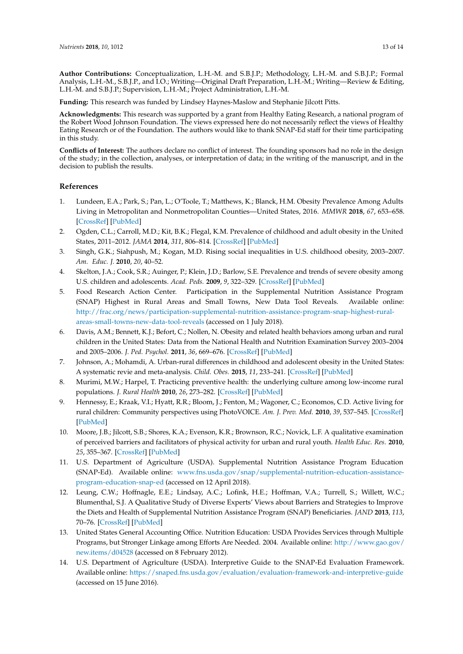**Author Contributions:** Conceptualization, L.H.-M. and S.B.J.P.; Methodology, L.H.-M. and S.B.J.P.; Formal Analysis, L.H.-M., S.B.J.P., and I.O.; Writing—Original Draft Preparation, L.H.-M.; Writing—Review & Editing, L.H.-M. and S.B.J.P.; Supervision, L.H.-M.; Project Administration, L.H.-M.

**Funding:** This research was funded by Lindsey Haynes-Maslow and Stephanie Jilcott Pitts.

**Acknowledgments:** This research was supported by a grant from Healthy Eating Research, a national program of the Robert Wood Johnson Foundation. The views expressed here do not necessarily reflect the views of Healthy Eating Research or of the Foundation. The authors would like to thank SNAP-Ed staff for their time participating in this study.

**Conflicts of Interest:** The authors declare no conflict of interest. The founding sponsors had no role in the design of the study; in the collection, analyses, or interpretation of data; in the writing of the manuscript, and in the decision to publish the results.

## **References**

- <span id="page-12-0"></span>1. Lundeen, E.A.; Park, S.; Pan, L.; O'Toole, T.; Matthews, K.; Blanck, H.M. Obesity Prevalence Among Adults Living in Metropolitan and Nonmetropolitan Counties—United States, 2016. *MMWR* **2018**, *67*, 653–658. [\[CrossRef\]](http://dx.doi.org/10.15585/mmwr.mm6723a1) [\[PubMed\]](http://www.ncbi.nlm.nih.gov/pubmed/29902166)
- <span id="page-12-1"></span>2. Ogden, C.L.; Carroll, M.D.; Kit, B.K.; Flegal, K.M. Prevalence of childhood and adult obesity in the United States, 2011–2012. *JAMA* **2014**, *311*, 806–814. [\[CrossRef\]](http://dx.doi.org/10.1001/jama.2014.732) [\[PubMed\]](http://www.ncbi.nlm.nih.gov/pubmed/24570244)
- 3. Singh, G.K.; Siahpush, M.; Kogan, M.D. Rising social inequalities in U.S. childhood obesity, 2003–2007. *Am. Educ. J.* **2010**, *20*, 40–52.
- <span id="page-12-2"></span>4. Skelton, J.A.; Cook, S.R.; Auinger, P.; Klein, J.D.; Barlow, S.E. Prevalence and trends of severe obesity among U.S. children and adolescents. *Acad. Peds.* **2009**, *9*, 322–329. [\[CrossRef\]](http://dx.doi.org/10.1016/j.acap.2009.04.005) [\[PubMed\]](http://www.ncbi.nlm.nih.gov/pubmed/19560993)
- <span id="page-12-3"></span>5. Food Research Action Center. Participation in the Supplemental Nutrition Assistance Program (SNAP) Highest in Rural Areas and Small Towns, New Data Tool Reveals. Available online: [http://frac.org/news/participation-supplemental-nutrition-assistance-program-snap-highest-rural](http://frac.org/news/participation-supplemental-nutrition-assistance-program-snap-highest-rural-areas-small-towns-new-data-tool-reveals)[areas-small-towns-new-data-tool-reveals](http://frac.org/news/participation-supplemental-nutrition-assistance-program-snap-highest-rural-areas-small-towns-new-data-tool-reveals) (accessed on 1 July 2018).
- <span id="page-12-4"></span>6. Davis, A.M.; Bennett, K.J.; Befort, C.; Nollen, N. Obesity and related health behaviors among urban and rural children in the United States: Data from the National Health and Nutrition Examination Survey 2003–2004 and 2005–2006. *J. Ped. Psychol.* **2011**, *36*, 669–676. [\[CrossRef\]](http://dx.doi.org/10.1093/jpepsy/jsq117) [\[PubMed\]](http://www.ncbi.nlm.nih.gov/pubmed/21227910)
- <span id="page-12-5"></span>7. Johnson, A.; Mohamdi, A. Urban-rural differences in childhood and adolescent obesity in the United States: A systematic revie and meta-analysis. *Child. Obes.* **2015**, *11*, 233–241. [\[CrossRef\]](http://dx.doi.org/10.1089/chi.2014.0085) [\[PubMed\]](http://www.ncbi.nlm.nih.gov/pubmed/25928227)
- <span id="page-12-6"></span>8. Murimi, M.W.; Harpel, T. Practicing preventive health: the underlying culture among low-income rural populations. *J. Rural Health* **2010**, *26*, 273–282. [\[CrossRef\]](http://dx.doi.org/10.1111/j.1748-0361.2010.00289.x) [\[PubMed\]](http://www.ncbi.nlm.nih.gov/pubmed/20633096)
- 9. Hennessy, E.; Kraak, V.I.; Hyatt, R.R.; Bloom, J.; Fenton, M.; Wagoner, C.; Economos, C.D. Active living for rural children: Community perspectives using PhotoVOICE. *Am. J. Prev. Med.* **2010**, *39*, 537–545. [\[CrossRef\]](http://dx.doi.org/10.1016/j.amepre.2010.09.013) [\[PubMed\]](http://www.ncbi.nlm.nih.gov/pubmed/21084074)
- <span id="page-12-7"></span>10. Moore, J.B.; Jilcott, S.B.; Shores, K.A.; Evenson, K.R.; Brownson, R.C.; Novick, L.F. A qualitative examination of perceived barriers and facilitators of physical activity for urban and rural youth. *Health Educ. Res.* **2010**, *25*, 355–367. [\[CrossRef\]](http://dx.doi.org/10.1093/her/cyq004) [\[PubMed\]](http://www.ncbi.nlm.nih.gov/pubmed/20167607)
- <span id="page-12-8"></span>11. U.S. Department of Agriculture (USDA). Supplemental Nutrition Assistance Program Education (SNAP-Ed). Available online: [www.fns.usda.gov/snap/supplemental-nutrition-education-assistance](www.fns.usda.gov/snap/supplemental-nutrition-education-assistance-program-education-snap-ed)[program-education-snap-ed](www.fns.usda.gov/snap/supplemental-nutrition-education-assistance-program-education-snap-ed) (accessed on 12 April 2018).
- <span id="page-12-9"></span>12. Leung, C.W.; Hoffnagle, E.E.; Lindsay, A.C.; Lofink, H.E.; Hoffman, V.A.; Turrell, S.; Willett, W.C.; Blumenthal, S.J. A Qualitative Study of Diverse Experts' Views about Barriers and Strategies to Improve the Diets and Health of Supplemental Nutrition Assistance Program (SNAP) Beneficiaries. *JAND* **2013**, *113*, 70–76. [\[CrossRef\]](http://dx.doi.org/10.1016/j.jand.2012.09.018) [\[PubMed\]](http://www.ncbi.nlm.nih.gov/pubmed/23260725)
- <span id="page-12-10"></span>13. United States General Accounting Office. Nutrition Education: USDA Provides Services through Multiple Programs, but Stronger Linkage among Efforts Are Needed. 2004. Available online: [http://www.gao.gov/](http://www.gao.gov/new.items/d04528) [new.items/d04528](http://www.gao.gov/new.items/d04528) (accessed on 8 February 2012).
- <span id="page-12-11"></span>14. U.S. Department of Agriculture (USDA). Interpretive Guide to the SNAP-Ed Evaluation Framework. Available online: <https://snaped.fns.usda.gov/evaluation/evaluation-framework-and-interpretive-guide> (accessed on 15 June 2016).